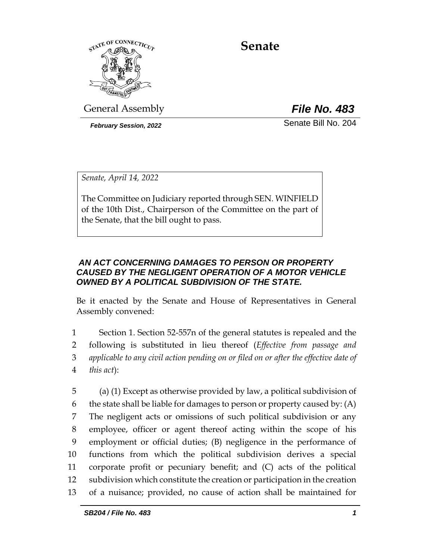

**Senate**

General Assembly *File No. 483*

*February Session, 2022* Senate Bill No. 204

*Senate, April 14, 2022*

The Committee on Judiciary reported through SEN. WINFIELD of the 10th Dist., Chairperson of the Committee on the part of the Senate, that the bill ought to pass.

# *AN ACT CONCERNING DAMAGES TO PERSON OR PROPERTY CAUSED BY THE NEGLIGENT OPERATION OF A MOTOR VEHICLE OWNED BY A POLITICAL SUBDIVISION OF THE STATE.*

Be it enacted by the Senate and House of Representatives in General Assembly convened:

 Section 1. Section 52-557n of the general statutes is repealed and the following is substituted in lieu thereof (*Effective from passage and applicable to any civil action pending on or filed on or after the effective date of this act*):

 (a) (1) Except as otherwise provided by law, a political subdivision of 6 the state shall be liable for damages to person or property caused by:  $(A)$  The negligent acts or omissions of such political subdivision or any employee, officer or agent thereof acting within the scope of his employment or official duties; (B) negligence in the performance of functions from which the political subdivision derives a special corporate profit or pecuniary benefit; and (C) acts of the political subdivision which constitute the creation or participation in the creation of a nuisance; provided, no cause of action shall be maintained for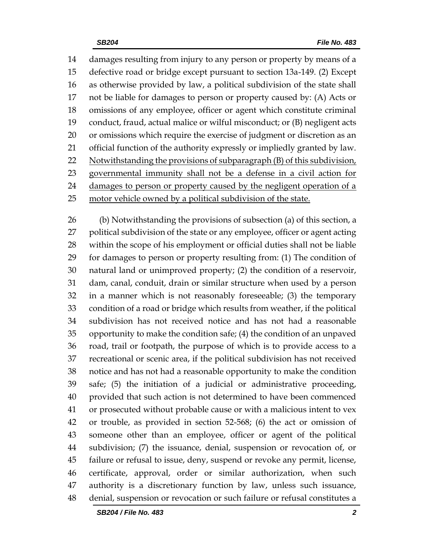damages resulting from injury to any person or property by means of a defective road or bridge except pursuant to section 13a-149. (2) Except as otherwise provided by law, a political subdivision of the state shall not be liable for damages to person or property caused by: (A) Acts or omissions of any employee, officer or agent which constitute criminal conduct, fraud, actual malice or wilful misconduct; or (B) negligent acts or omissions which require the exercise of judgment or discretion as an official function of the authority expressly or impliedly granted by law. 22 Notwithstanding the provisions of subparagraph (B) of this subdivision, governmental immunity shall not be a defense in a civil action for 24 damages to person or property caused by the negligent operation of a motor vehicle owned by a political subdivision of the state.

 (b) Notwithstanding the provisions of subsection (a) of this section, a political subdivision of the state or any employee, officer or agent acting within the scope of his employment or official duties shall not be liable for damages to person or property resulting from: (1) The condition of natural land or unimproved property; (2) the condition of a reservoir, dam, canal, conduit, drain or similar structure when used by a person in a manner which is not reasonably foreseeable; (3) the temporary condition of a road or bridge which results from weather, if the political subdivision has not received notice and has not had a reasonable opportunity to make the condition safe; (4) the condition of an unpaved road, trail or footpath, the purpose of which is to provide access to a recreational or scenic area, if the political subdivision has not received notice and has not had a reasonable opportunity to make the condition safe; (5) the initiation of a judicial or administrative proceeding, provided that such action is not determined to have been commenced or prosecuted without probable cause or with a malicious intent to vex or trouble, as provided in section 52-568; (6) the act or omission of someone other than an employee, officer or agent of the political subdivision; (7) the issuance, denial, suspension or revocation of, or failure or refusal to issue, deny, suspend or revoke any permit, license, certificate, approval, order or similar authorization, when such authority is a discretionary function by law, unless such issuance, denial, suspension or revocation or such failure or refusal constitutes a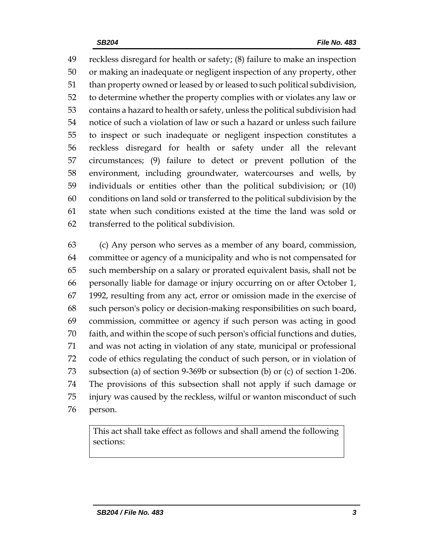reckless disregard for health or safety; (8) failure to make an inspection or making an inadequate or negligent inspection of any property, other than property owned or leased by or leased to such political subdivision, to determine whether the property complies with or violates any law or contains a hazard to health or safety, unless the political subdivision had notice of such a violation of law or such a hazard or unless such failure to inspect or such inadequate or negligent inspection constitutes a reckless disregard for health or safety under all the relevant circumstances; (9) failure to detect or prevent pollution of the environment, including groundwater, watercourses and wells, by individuals or entities other than the political subdivision; or (10) conditions on land sold or transferred to the political subdivision by the state when such conditions existed at the time the land was sold or transferred to the political subdivision.

 (c) Any person who serves as a member of any board, commission, committee or agency of a municipality and who is not compensated for such membership on a salary or prorated equivalent basis, shall not be personally liable for damage or injury occurring on or after October 1, 1992, resulting from any act, error or omission made in the exercise of such person's policy or decision-making responsibilities on such board, commission, committee or agency if such person was acting in good faith, and within the scope of such person's official functions and duties, and was not acting in violation of any state, municipal or professional code of ethics regulating the conduct of such person, or in violation of subsection (a) of section 9-369b or subsection (b) or (c) of section 1-206. The provisions of this subsection shall not apply if such damage or injury was caused by the reckless, wilful or wanton misconduct of such person.

This act shall take effect as follows and shall amend the following sections: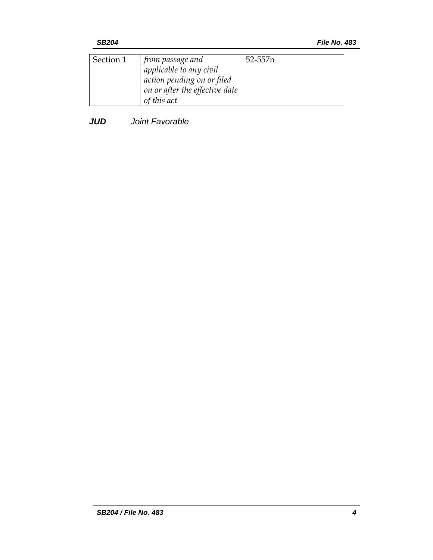| Section 1 | $\mid$ from passage and $\mid$ | 52-557 <sub>n</sub> |
|-----------|--------------------------------|---------------------|
|           | applicable to any civil        |                     |
|           | action pending on or filed     |                     |
|           | on or after the effective date |                     |
|           | of this act                    |                     |

## *JUD Joint Favorable*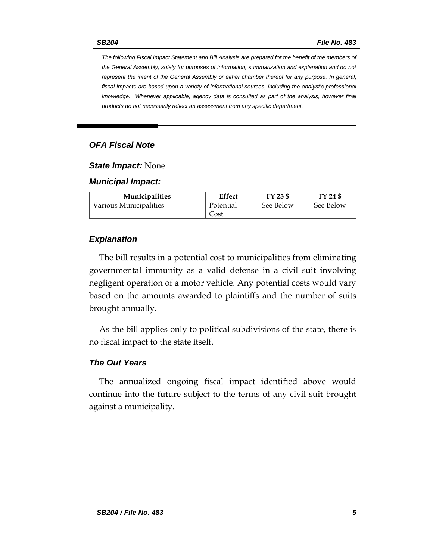*The following Fiscal Impact Statement and Bill Analysis are prepared for the benefit of the members of the General Assembly, solely for purposes of information, summarization and explanation and do not represent the intent of the General Assembly or either chamber thereof for any purpose. In general,*  fiscal impacts are based upon a variety of informational sources, including the analyst's professional *knowledge. Whenever applicable, agency data is consulted as part of the analysis, however final products do not necessarily reflect an assessment from any specific department.*

### *OFA Fiscal Note*

#### *State Impact:* None

#### *Municipal Impact:*

| <b>Municipalities</b>  | Effect    | FY 23 \$  | FY 24 \$  |
|------------------------|-----------|-----------|-----------|
| Various Municipalities | Potential | See Below | See Below |
|                        | Cost      |           |           |

### *Explanation*

The bill results in a potential cost to municipalities from eliminating governmental immunity as a valid defense in a civil suit involving negligent operation of a motor vehicle. Any potential costs would vary based on the amounts awarded to plaintiffs and the number of suits brought annually.

As the bill applies only to political subdivisions of the state, there is no fiscal impact to the state itself.

### *The Out Years*

The annualized ongoing fiscal impact identified above would continue into the future subject to the terms of any civil suit brought against a municipality.